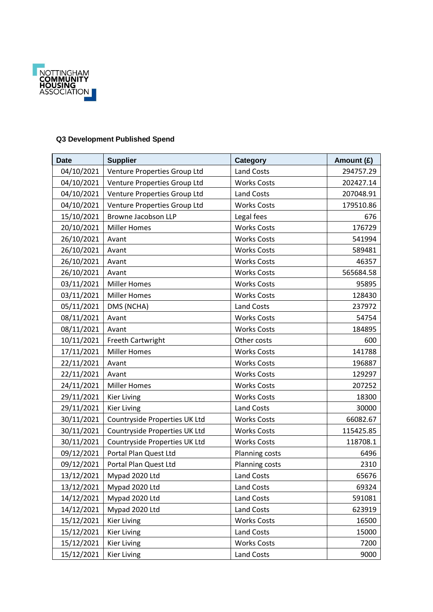

## **Q3 Development Published Spend**

| <b>Date</b> | <b>Supplier</b>               | Category           | Amount (£) |
|-------------|-------------------------------|--------------------|------------|
| 04/10/2021  | Venture Properties Group Ltd  | <b>Land Costs</b>  | 294757.29  |
| 04/10/2021  | Venture Properties Group Ltd  | <b>Works Costs</b> | 202427.14  |
| 04/10/2021  | Venture Properties Group Ltd  | Land Costs         | 207048.91  |
| 04/10/2021  | Venture Properties Group Ltd  | <b>Works Costs</b> | 179510.86  |
| 15/10/2021  | Browne Jacobson LLP           | Legal fees         | 676        |
| 20/10/2021  | <b>Miller Homes</b>           | <b>Works Costs</b> | 176729     |
| 26/10/2021  | Avant                         | <b>Works Costs</b> | 541994     |
| 26/10/2021  | Avant                         | <b>Works Costs</b> | 589481     |
| 26/10/2021  | Avant                         | <b>Works Costs</b> | 46357      |
| 26/10/2021  | Avant                         | <b>Works Costs</b> | 565684.58  |
| 03/11/2021  | <b>Miller Homes</b>           | <b>Works Costs</b> | 95895      |
| 03/11/2021  | <b>Miller Homes</b>           | <b>Works Costs</b> | 128430     |
| 05/11/2021  | DMS (NCHA)                    | <b>Land Costs</b>  | 237972     |
| 08/11/2021  | Avant                         | <b>Works Costs</b> | 54754      |
| 08/11/2021  | Avant                         | <b>Works Costs</b> | 184895     |
| 10/11/2021  | Freeth Cartwright             | Other costs        | 600        |
| 17/11/2021  | <b>Miller Homes</b>           | <b>Works Costs</b> | 141788     |
| 22/11/2021  | Avant                         | <b>Works Costs</b> | 196887     |
| 22/11/2021  | Avant                         | <b>Works Costs</b> | 129297     |
| 24/11/2021  | <b>Miller Homes</b>           | <b>Works Costs</b> | 207252     |
| 29/11/2021  | <b>Kier Living</b>            | <b>Works Costs</b> | 18300      |
| 29/11/2021  | <b>Kier Living</b>            | <b>Land Costs</b>  | 30000      |
| 30/11/2021  | Countryside Properties UK Ltd | <b>Works Costs</b> | 66082.67   |
| 30/11/2021  | Countryside Properties UK Ltd | <b>Works Costs</b> | 115425.85  |
| 30/11/2021  | Countryside Properties UK Ltd | <b>Works Costs</b> | 118708.1   |
| 09/12/2021  | Portal Plan Quest Ltd         | Planning costs     | 6496       |
| 09/12/2021  | Portal Plan Quest Ltd         | Planning costs     | 2310       |
| 13/12/2021  | Mypad 2020 Ltd                | <b>Land Costs</b>  | 65676      |
| 13/12/2021  | Mypad 2020 Ltd                | Land Costs         | 69324      |
| 14/12/2021  | Mypad 2020 Ltd                | Land Costs         | 591081     |
| 14/12/2021  | Mypad 2020 Ltd                | Land Costs         | 623919     |
| 15/12/2021  | <b>Kier Living</b>            | <b>Works Costs</b> | 16500      |
| 15/12/2021  | <b>Kier Living</b>            | Land Costs         | 15000      |
| 15/12/2021  | <b>Kier Living</b>            | <b>Works Costs</b> | 7200       |
| 15/12/2021  | Kier Living                   | Land Costs         | 9000       |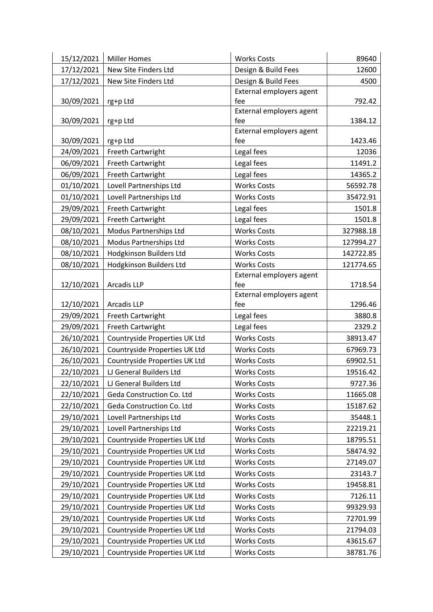| 15/12/2021 | <b>Miller Homes</b>           | <b>Works Costs</b>              | 89640     |
|------------|-------------------------------|---------------------------------|-----------|
| 17/12/2021 | New Site Finders Ltd          | Design & Build Fees             | 12600     |
| 17/12/2021 | New Site Finders Ltd          | Design & Build Fees             | 4500      |
|            |                               | External employers agent        |           |
| 30/09/2021 | rg+p Ltd                      | fee                             | 792.42    |
|            |                               | External employers agent        |           |
| 30/09/2021 | rg+p Ltd                      | fee                             | 1384.12   |
| 30/09/2021 | rg+p Ltd                      | External employers agent<br>fee | 1423.46   |
| 24/09/2021 | Freeth Cartwright             | Legal fees                      | 12036     |
| 06/09/2021 | Freeth Cartwright             | Legal fees                      | 11491.2   |
| 06/09/2021 | Freeth Cartwright             | Legal fees                      | 14365.2   |
| 01/10/2021 | Lovell Partnerships Ltd       | <b>Works Costs</b>              | 56592.78  |
| 01/10/2021 | Lovell Partnerships Ltd       | <b>Works Costs</b>              | 35472.91  |
| 29/09/2021 | Freeth Cartwright             | Legal fees                      | 1501.8    |
| 29/09/2021 | Freeth Cartwright             | Legal fees                      | 1501.8    |
| 08/10/2021 | Modus Partnerships Ltd        | <b>Works Costs</b>              | 327988.18 |
| 08/10/2021 | Modus Partnerships Ltd        | <b>Works Costs</b>              | 127994.27 |
| 08/10/2021 | Hodgkinson Builders Ltd       | <b>Works Costs</b>              | 142722.85 |
| 08/10/2021 | Hodgkinson Builders Ltd       | <b>Works Costs</b>              | 121774.65 |
|            |                               | External employers agent        |           |
| 12/10/2021 | Arcadis LLP                   | fee                             | 1718.54   |
|            |                               | External employers agent        |           |
| 12/10/2021 | <b>Arcadis LLP</b>            | fee                             | 1296.46   |
| 29/09/2021 | Freeth Cartwright             | Legal fees                      | 3880.8    |
| 29/09/2021 | Freeth Cartwright             | Legal fees                      | 2329.2    |
| 26/10/2021 | Countryside Properties UK Ltd | <b>Works Costs</b>              | 38913.47  |
| 26/10/2021 | Countryside Properties UK Ltd | <b>Works Costs</b>              | 67969.73  |
| 26/10/2021 | Countryside Properties UK Ltd | <b>Works Costs</b>              | 69902.51  |
| 22/10/2021 | LJ General Builders Ltd       | <b>Works Costs</b>              | 19516.42  |
| 22/10/2021 | LJ General Builders Ltd       | <b>Works Costs</b>              | 9727.36   |
| 22/10/2021 | Geda Construction Co. Ltd     | <b>Works Costs</b>              | 11665.08  |
| 22/10/2021 | Geda Construction Co. Ltd     | <b>Works Costs</b>              | 15187.62  |
| 29/10/2021 | Lovell Partnerships Ltd       | <b>Works Costs</b>              | 35448.1   |
| 29/10/2021 | Lovell Partnerships Ltd       | <b>Works Costs</b>              | 22219.21  |
| 29/10/2021 | Countryside Properties UK Ltd | <b>Works Costs</b>              | 18795.51  |
| 29/10/2021 | Countryside Properties UK Ltd | <b>Works Costs</b>              | 58474.92  |
| 29/10/2021 | Countryside Properties UK Ltd | <b>Works Costs</b>              | 27149.07  |
| 29/10/2021 | Countryside Properties UK Ltd | <b>Works Costs</b>              | 23143.7   |
| 29/10/2021 | Countryside Properties UK Ltd | <b>Works Costs</b>              | 19458.81  |
| 29/10/2021 | Countryside Properties UK Ltd | <b>Works Costs</b>              | 7126.11   |
| 29/10/2021 | Countryside Properties UK Ltd | <b>Works Costs</b>              | 99329.93  |
| 29/10/2021 | Countryside Properties UK Ltd | <b>Works Costs</b>              | 72701.99  |
| 29/10/2021 | Countryside Properties UK Ltd | <b>Works Costs</b>              | 21794.03  |
| 29/10/2021 | Countryside Properties UK Ltd | <b>Works Costs</b>              | 43615.67  |
| 29/10/2021 | Countryside Properties UK Ltd | <b>Works Costs</b>              | 38781.76  |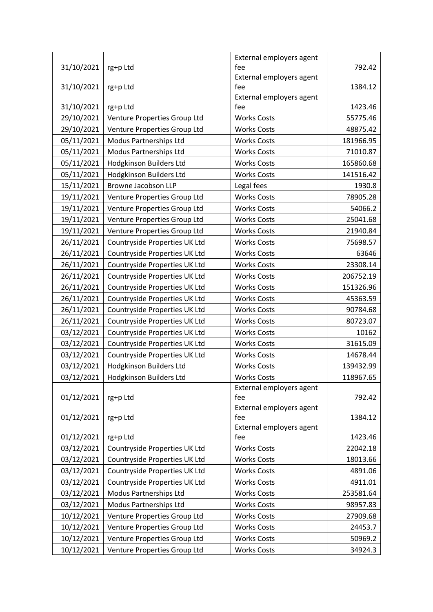|            |                               | External employers agent |           |
|------------|-------------------------------|--------------------------|-----------|
| 31/10/2021 | rg+p Ltd                      | fee                      | 792.42    |
|            |                               | External employers agent |           |
| 31/10/2021 | rg+p Ltd                      | fee                      | 1384.12   |
|            |                               | External employers agent |           |
| 31/10/2021 | rg+p Ltd                      | fee                      | 1423.46   |
| 29/10/2021 | Venture Properties Group Ltd  | <b>Works Costs</b>       | 55775.46  |
| 29/10/2021 | Venture Properties Group Ltd  | <b>Works Costs</b>       | 48875.42  |
| 05/11/2021 | Modus Partnerships Ltd        | <b>Works Costs</b>       | 181966.95 |
| 05/11/2021 | Modus Partnerships Ltd        | <b>Works Costs</b>       | 71010.87  |
| 05/11/2021 | Hodgkinson Builders Ltd       | <b>Works Costs</b>       | 165860.68 |
| 05/11/2021 | Hodgkinson Builders Ltd       | <b>Works Costs</b>       | 141516.42 |
| 15/11/2021 | Browne Jacobson LLP           | Legal fees               | 1930.8    |
| 19/11/2021 | Venture Properties Group Ltd  | <b>Works Costs</b>       | 78905.28  |
| 19/11/2021 | Venture Properties Group Ltd  | <b>Works Costs</b>       | 54066.2   |
| 19/11/2021 | Venture Properties Group Ltd  | <b>Works Costs</b>       | 25041.68  |
| 19/11/2021 | Venture Properties Group Ltd  | <b>Works Costs</b>       | 21940.84  |
| 26/11/2021 | Countryside Properties UK Ltd | <b>Works Costs</b>       | 75698.57  |
| 26/11/2021 | Countryside Properties UK Ltd | <b>Works Costs</b>       | 63646     |
| 26/11/2021 | Countryside Properties UK Ltd | <b>Works Costs</b>       | 23308.14  |
| 26/11/2021 | Countryside Properties UK Ltd | <b>Works Costs</b>       | 206752.19 |
| 26/11/2021 | Countryside Properties UK Ltd | <b>Works Costs</b>       | 151326.96 |
| 26/11/2021 | Countryside Properties UK Ltd | <b>Works Costs</b>       | 45363.59  |
| 26/11/2021 | Countryside Properties UK Ltd | <b>Works Costs</b>       | 90784.68  |
| 26/11/2021 | Countryside Properties UK Ltd | <b>Works Costs</b>       | 80723.07  |
| 03/12/2021 | Countryside Properties UK Ltd | <b>Works Costs</b>       | 10162     |
| 03/12/2021 | Countryside Properties UK Ltd | <b>Works Costs</b>       | 31615.09  |
| 03/12/2021 | Countryside Properties UK Ltd | <b>Works Costs</b>       | 14678.44  |
| 03/12/2021 | Hodgkinson Builders Ltd       | <b>Works Costs</b>       | 139432.99 |
| 03/12/2021 | Hodgkinson Builders Ltd       | <b>Works Costs</b>       | 118967.65 |
|            |                               | External employers agent |           |
| 01/12/2021 | rg+p Ltd                      | fee                      | 792.42    |
|            |                               | External employers agent |           |
| 01/12/2021 | rg+p Ltd                      | fee                      | 1384.12   |
|            |                               | External employers agent |           |
| 01/12/2021 | rg+p Ltd                      | fee                      | 1423.46   |
| 03/12/2021 | Countryside Properties UK Ltd | <b>Works Costs</b>       | 22042.18  |
| 03/12/2021 | Countryside Properties UK Ltd | <b>Works Costs</b>       | 18013.66  |
| 03/12/2021 | Countryside Properties UK Ltd | <b>Works Costs</b>       | 4891.06   |
| 03/12/2021 | Countryside Properties UK Ltd | <b>Works Costs</b>       | 4911.01   |
| 03/12/2021 | Modus Partnerships Ltd        | <b>Works Costs</b>       | 253581.64 |
| 03/12/2021 | Modus Partnerships Ltd        | <b>Works Costs</b>       | 98957.83  |
| 10/12/2021 | Venture Properties Group Ltd  | <b>Works Costs</b>       | 27909.68  |
| 10/12/2021 | Venture Properties Group Ltd  | <b>Works Costs</b>       | 24453.7   |
| 10/12/2021 | Venture Properties Group Ltd  | <b>Works Costs</b>       | 50969.2   |
| 10/12/2021 | Venture Properties Group Ltd  | <b>Works Costs</b>       | 34924.3   |